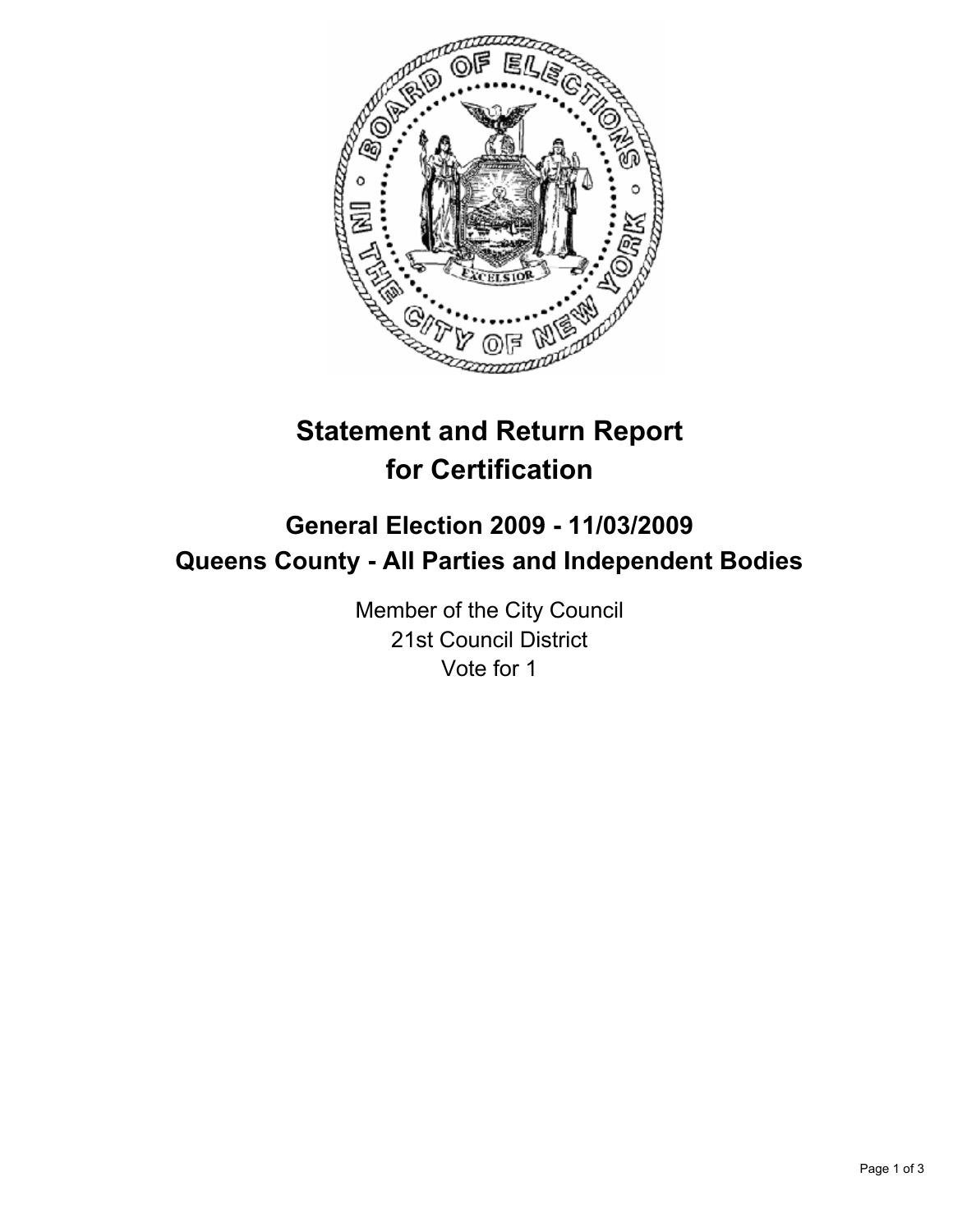

# **Statement and Return Report for Certification**

# **General Election 2009 - 11/03/2009 Queens County - All Parties and Independent Bodies**

Member of the City Council 21st Council District Vote for 1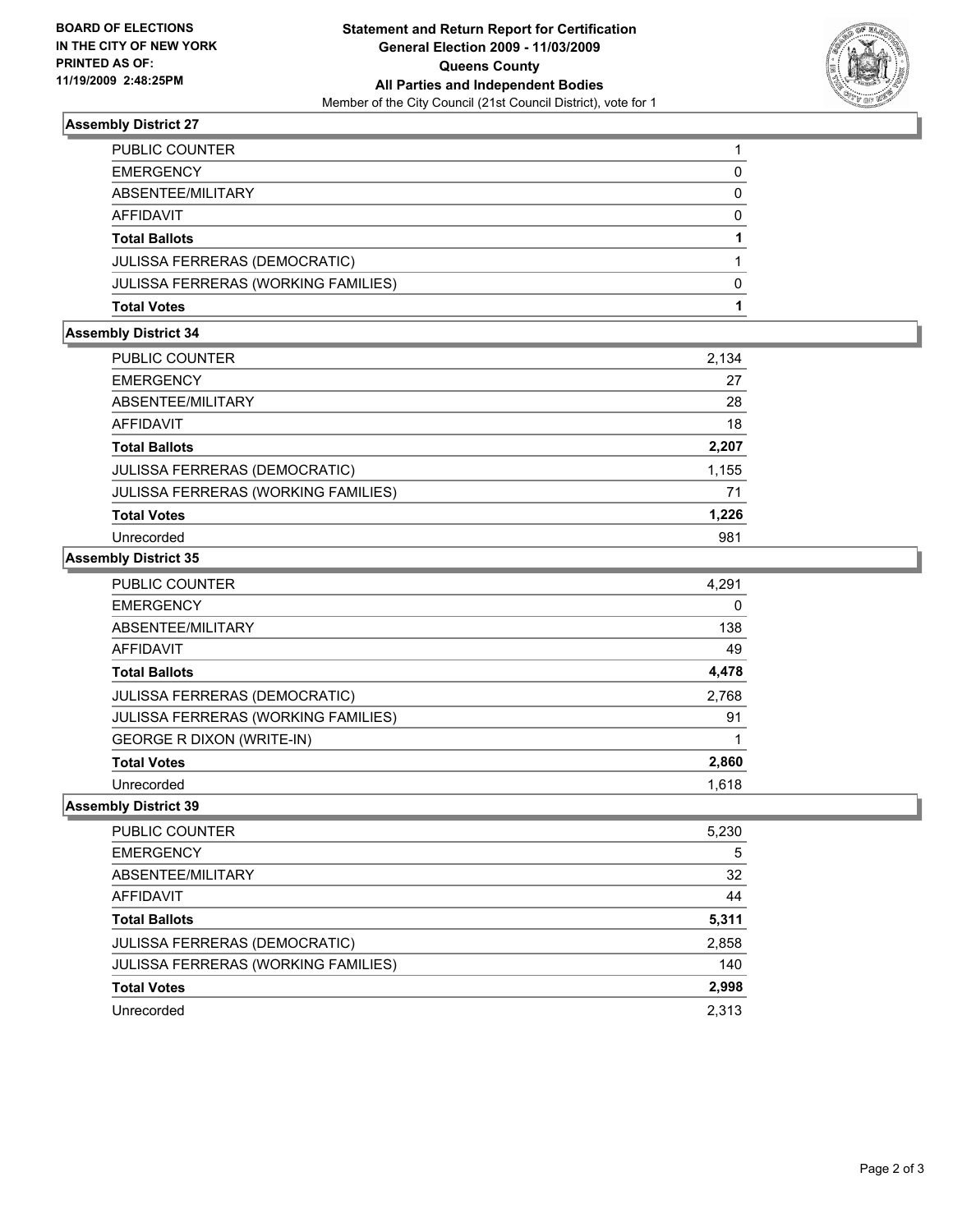

### **Assembly District 27**

| PUBLIC COUNTER                             |   |
|--------------------------------------------|---|
| <b>EMERGENCY</b>                           |   |
| ABSENTEE/MILITARY                          |   |
| <b>AFFIDAVIT</b>                           | 0 |
| <b>Total Ballots</b>                       |   |
| <b>JULISSA FERRERAS (DEMOCRATIC)</b>       |   |
| <b>JULISSA FERRERAS (WORKING FAMILIES)</b> |   |
| <b>Total Votes</b>                         |   |

### **Assembly District 34**

| <b>PUBLIC COUNTER</b>                      | 2,134 |
|--------------------------------------------|-------|
| <b>EMERGENCY</b>                           | 27    |
| ABSENTEE/MILITARY                          | 28    |
| AFFIDAVIT                                  | 18    |
| <b>Total Ballots</b>                       | 2,207 |
| <b>JULISSA FERRERAS (DEMOCRATIC)</b>       | 1,155 |
| <b>JULISSA FERRERAS (WORKING FAMILIES)</b> | 71    |
| <b>Total Votes</b>                         | 1,226 |
| Unrecorded                                 | 981   |
|                                            |       |

## **Assembly District 35**

| 4,291 |
|-------|
| 0     |
| 138   |
| 49    |
| 4,478 |
| 2,768 |
| 91    |
|       |
| 2,860 |
| 1,618 |
|       |

## **Assembly District 39**

| <b>PUBLIC COUNTER</b>                      | 5,230 |
|--------------------------------------------|-------|
| <b>EMERGENCY</b>                           | 5     |
| ABSENTEE/MILITARY                          | 32    |
| AFFIDAVIT                                  | 44    |
| <b>Total Ballots</b>                       | 5,311 |
| JULISSA FERRERAS (DEMOCRATIC)              | 2,858 |
| <b>JULISSA FERRERAS (WORKING FAMILIES)</b> | 140   |
| <b>Total Votes</b>                         | 2,998 |
| Unrecorded                                 | 2.313 |